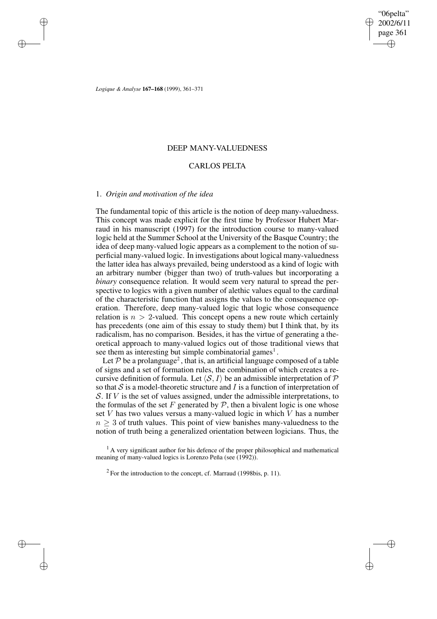✐

✐

*Logique & Analyse* **167–168** (1999), 361–371

✐

✐

✐

✐

## DEEP MANY-VALUEDNESS

## CARLOS PELTA

### 1. *Origin and motivation of the idea*

The fundamental topic of this article is the notion of deep many-valuedness. This concept was made explicit for the first time by Professor Hubert Marraud in his manuscript (1997) for the introduction course to many-valued logic held at the Summer School at the University of the Basque Country; the idea of deep many-valued logic appears as a complement to the notion of superficial many-valued logic. In investigations about logical many-valuedness the latter idea has always prevailed, being understood as a kind of logic with an arbitrary number (bigger than two) of truth-values but incorporating a *binary* consequence relation. It would seem very natural to spread the perspective to logics with a given number of alethic values equal to the cardinal of the characteristic function that assigns the values to the consequence operation. Therefore, deep many-valued logic that logic whose consequence relation is  $n > 2$ -valued. This concept opens a new route which certainly has precedents (one aim of this essay to study them) but I think that, by its radicalism, has no comparison. Besides, it has the virtue of generating a theoretical approach to many-valued logics out of those traditional views that see them as interesting but simple combinatorial games<sup>1</sup>.

Let  $P$  be a prolanguage<sup>2</sup>, that is, an artificial language composed of a table of signs and a set of formation rules, the combination of which creates a recursive definition of formula. Let  $\langle S, I \rangle$  be an admissible interpretation of P so that  $S$  is a model-theoretic structure and  $I$  is a function of interpretation of S. If  $V$  is the set of values assigned, under the admissible interpretations, to the formulas of the set  $F$  generated by  $P$ , then a bivalent logic is one whose set  $V$  has two values versus a many-valued logic in which  $V$  has a number  $n \geq 3$  of truth values. This point of view banishes many-valuedness to the notion of truth being a generalized orientation between logicians. Thus, the

 $<sup>1</sup>$  A very significant author for his defence of the proper philosophical and mathematical</sup> meaning of many-valued logics is Lorenzo Peña (see (1992)).

 $2^2$  For the introduction to the concept, cf. Marraud (1998bis, p. 11).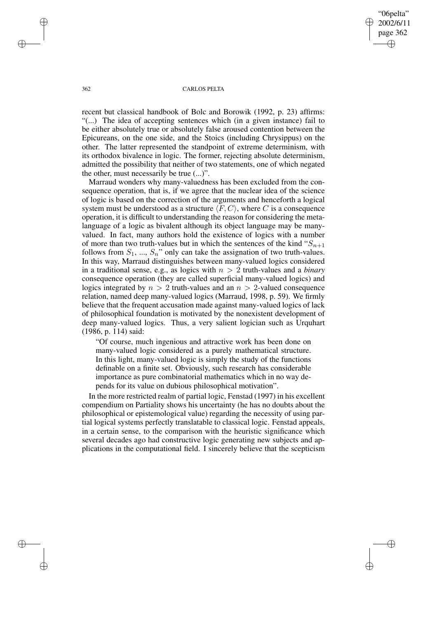"06pelta" 2002/6/11 page 362 ✐ ✐

✐

✐

#### 362 CARLOS PELTA

recent but classical handbook of Bolc and Borowik (1992, p. 23) affirms: "(...) The idea of accepting sentences which (in a given instance) fail to be either absolutely true or absolutely false aroused contention between the Epicureans, on the one side, and the Stoics (including Chrysippus) on the other. The latter represented the standpoint of extreme determinism, with its orthodox bivalence in logic. The former, rejecting absolute determinism, admitted the possibility that neither of two statements, one of which negated the other, must necessarily be true (...)".

Marraud wonders why many-valuedness has been excluded from the consequence operation, that is, if we agree that the nuclear idea of the science of logic is based on the correction of the arguments and henceforth a logical system must be understood as a structure  $\langle F, C \rangle$ , where C is a consequence operation, it is difficult to understanding the reason for considering the metalanguage of a logic as bivalent although its object language may be manyvalued. In fact, many authors hold the existence of logics with a number of more than two truth-values but in which the sentences of the kind " $S_{n+1}$ " follows from  $S_1$ , ...,  $S_n$ " only can take the assignation of two truth-values. In this way, Marraud distinguishes between many-valued logics considered in a traditional sense, e.g., as logics with  $n > 2$  truth-values and a *binary* consequence operation (they are called superficial many-valued logics) and logics integrated by  $n > 2$  truth-values and an  $n > 2$ -valued consequence relation, named deep many-valued logics (Marraud, 1998, p. 59). We firmly believe that the frequent accusation made against many-valued logics of lack of philosophical foundation is motivated by the nonexistent development of deep many-valued logics. Thus, a very salient logician such as Urquhart (1986, p. 114) said:

"Of course, much ingenious and attractive work has been done on many-valued logic considered as a purely mathematical structure. In this light, many-valued logic is simply the study of the functions definable on a finite set. Obviously, such research has considerable importance as pure combinatorial mathematics which in no way depends for its value on dubious philosophical motivation".

In the more restricted realm of partial logic, Fenstad (1997) in his excellent compendium on Partiality shows his uncertainty (he has no doubts about the philosophical or epistemological value) regarding the necessity of using partial logical systems perfectly translatable to classical logic. Fenstad appeals, in a certain sense, to the comparison with the heuristic significance which several decades ago had constructive logic generating new subjects and applications in the computational field. I sincerely believe that the scepticism

✐

✐

✐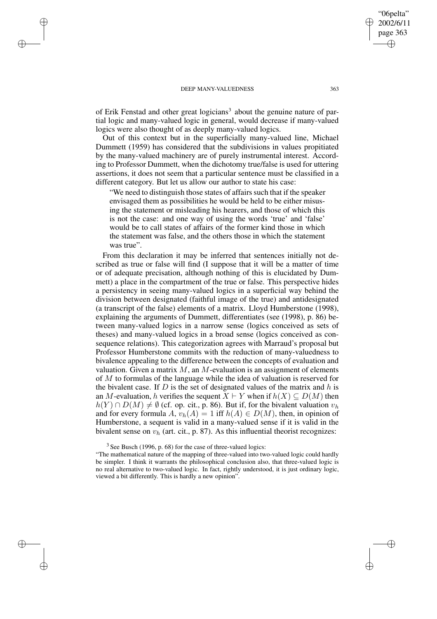✐

✐

✐

✐

of Erik Fenstad and other great logicians<sup>3</sup> about the genuine nature of partial logic and many-valued logic in general, would decrease if many-valued logics were also thought of as deeply many-valued logics.

Out of this context but in the superficially many-valued line, Michael Dummett (1959) has considered that the subdivisions in values propitiated by the many-valued machinery are of purely instrumental interest. According to Professor Dummett, when the dichotomy true/false is used for uttering assertions, it does not seem that a particular sentence must be classified in a different category. But let us allow our author to state his case:

"We need to distinguish those states of affairs such that if the speaker envisaged them as possibilities he would be held to be either misusing the statement or misleading his hearers, and those of which this is not the case: and one way of using the words 'true' and 'false' would be to call states of affairs of the former kind those in which the statement was false, and the others those in which the statement was true".

From this declaration it may be inferred that sentences initially not described as true or false will find (I suppose that it will be a matter of time or of adequate precisation, although nothing of this is elucidated by Dummett) a place in the compartment of the true or false. This perspective hides a persistency in seeing many-valued logics in a superficial way behind the division between designated (faithful image of the true) and antidesignated (a transcript of the false) elements of a matrix. Lloyd Humberstone (1998), explaining the arguments of Dummett, differentiates (see (1998), p. 86) between many-valued logics in a narrow sense (logics conceived as sets of theses) and many-valued logics in a broad sense (logics conceived as consequence relations). This categorization agrees with Marraud's proposal but Professor Humberstone commits with the reduction of many-valuedness to bivalence appealing to the difference between the concepts of evaluation and valuation. Given a matrix  $M$ , an  $M$ -evaluation is an assignment of elements of M to formulas of the language while the idea of valuation is reserved for the bivalent case. If  $D$  is the set of designated values of the matrix and  $h$  is an M-evaluation, h verifies the sequent  $X \vdash Y$  when if  $h(X) \subseteq D(M)$  then  $h(Y) \cap D(M) \neq \emptyset$  (cf. op. cit., p. 86). But if, for the bivalent valuation  $v_h$ and for every formula A,  $v_h(A) = 1$  iff  $h(A) \in D(M)$ , then, in opinion of Humberstone, a sequent is valid in a many-valued sense if it is valid in the bivalent sense on  $v<sub>h</sub>$  (art. cit., p. 87). As this influential theorist recognizes:

 $3$  See Busch (1996, p. 68) for the case of three-valued logics:

"06pelta" 2002/6/11 page 363

✐

✐

✐

<sup>&</sup>quot;The mathematical nature of the mapping of three-valued into two-valued logic could hardly be simpler. I think it warrants the philosophical conclusion also, that three-valued logic is no real alternative to two-valued logic. In fact, rightly understood, it is just ordinary logic, viewed a bit differently. This is hardly a new opinion".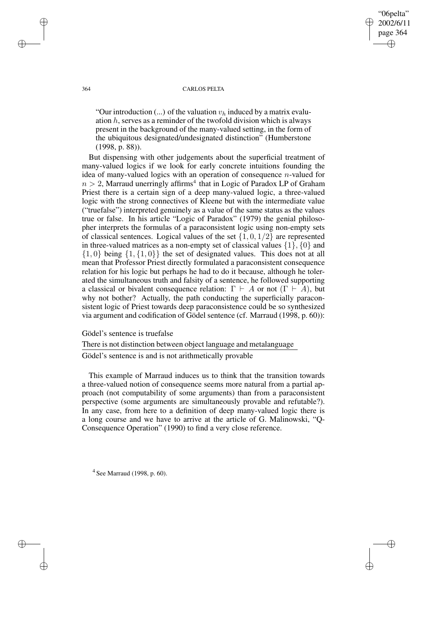"06pelta" 2002/6/11 page 364 ✐ ✐

✐

✐

#### 364 CARLOS PELTA

"Our introduction  $(...)$  of the valuation  $v_h$  induced by a matrix evaluation h, serves as a reminder of the twofold division which is always present in the background of the many-valued setting, in the form of the ubiquitous designated/undesignated distinction" (Humberstone (1998, p. 88)).

But dispensing with other judgements about the superficial treatment of many-valued logics if we look for early concrete intuitions founding the idea of many-valued logics with an operation of consequence n-valued for  $n > 2$ , Marraud unerringly affirms<sup>4</sup> that in Logic of Paradox LP of Graham Priest there is a certain sign of a deep many-valued logic, a three-valued logic with the strong connectives of Kleene but with the intermediate value ("truefalse") interpreted genuinely as a value of the same status as the values true or false. In his article "Logic of Paradox" (1979) the genial philosopher interprets the formulas of a paraconsistent logic using non-empty sets of classical sentences. Logical values of the set  $\{1, 0, 1/2\}$  are represented in three-valued matrices as a non-empty set of classical values  $\{1\}$ ,  $\{0\}$  and  $\{1, 0\}$  being  $\{1, \{1, 0\}\}\$  the set of designated values. This does not at all mean that Professor Priest directly formulated a paraconsistent consequence relation for his logic but perhaps he had to do it because, although he tolerated the simultaneous truth and falsity of a sentence, he followed supporting a classical or bivalent consequence relation:  $\Gamma \vdash A$  or not  $(\Gamma \vdash A)$ , but why not bother? Actually, the path conducting the superficially paraconsistent logic of Priest towards deep paraconsistence could be so synthesized via argument and codification of Gödel sentence (cf. Marraud (1998, p. 60)):

Gödel's sentence is truefalse

There is not distinction between object language and metalanguage

Gödel's sentence is and is not arithmetically provable

This example of Marraud induces us to think that the transition towards a three-valued notion of consequence seems more natural from a partial approach (not computability of some arguments) than from a paraconsistent perspective (some arguments are simultaneously provable and refutable?). In any case, from here to a definition of deep many-valued logic there is a long course and we have to arrive at the article of G. Malinowski, "Q-Consequence Operation" (1990) to find a very close reference.

<sup>4</sup> See Marraud (1998, p. 60).

✐

✐

✐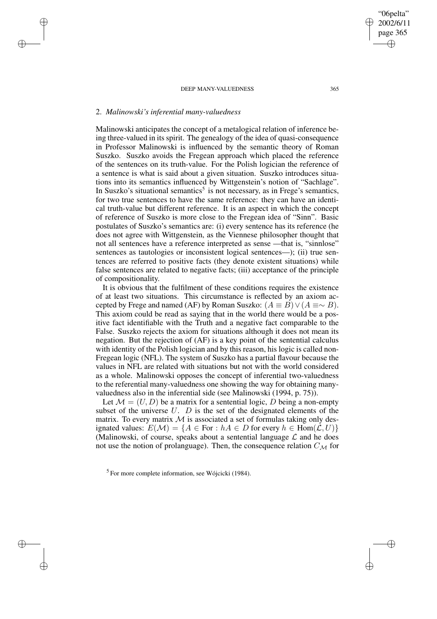## 2. *Malinowski's inferential many-valuedness*

✐

✐

✐

✐

Malinowski anticipates the concept of a metalogical relation of inference being three-valued in its spirit. The genealogy of the idea of quasi-consequence in Professor Malinowski is influenced by the semantic theory of Roman Suszko. Suszko avoids the Fregean approach which placed the reference of the sentences on its truth-value. For the Polish logician the reference of a sentence is what is said about a given situation. Suszko introduces situations into its semantics influenced by Wittgenstein's notion of "Sachlage". In Suszko's situational semantics<sup>5</sup> is not necessary, as in Frege's semantics, for two true sentences to have the same reference: they can have an identical truth-value but different reference. It is an aspect in which the concept of reference of Suszko is more close to the Fregean idea of "Sinn". Basic postulates of Suszko's semantics are: (i) every sentence has its reference (he does not agree with Wittgenstein, as the Viennese philosopher thought that not all sentences have a reference interpreted as sense —that is, "sinnlose" sentences as tautologies or inconsistent logical sentences—); (ii) true sentences are referred to positive facts (they denote existent situations) while false sentences are related to negative facts; (iii) acceptance of the principle of compositionality.

It is obvious that the fulfilment of these conditions requires the existence of at least two situations. This circumstance is reflected by an axiom accepted by Frege and named (AF) by Roman Suszko:  $(A \equiv B) \vee (A \equiv \sim B)$ . This axiom could be read as saying that in the world there would be a positive fact identifiable with the Truth and a negative fact comparable to the False. Suszko rejects the axiom for situations although it does not mean its negation. But the rejection of (AF) is a key point of the sentential calculus with identity of the Polish logician and by this reason, his logic is called non-Fregean logic (NFL). The system of Suszko has a partial flavour because the values in NFL are related with situations but not with the world considered as a whole. Malinowski opposes the concept of inferential two-valuedness to the referential many-valuedness one showing the way for obtaining manyvaluedness also in the inferential side (see Malinowski (1994, p. 75)).

Let  $\mathcal{M} = (U, D)$  be a matrix for a sentential logic, D being a non-empty subset of the universe  $U$ .  $D$  is the set of the designated elements of the matrix. To every matrix  $M$  is associated a set of formulas taking only designated values:  $E(\mathcal{M}) = \{A \in \text{For} : hA \in D \text{ for every } h \in \text{Hom}(\mathcal{L}, U)\}\$ (Malinowski, of course, speaks about a sentential language  $\mathcal L$  and he does not use the notion of prolanguage). Then, the consequence relation  $C_{\mathcal{M}}$  for

<sup>5</sup> For more complete information, see Wójcicki (1984).

"06pelta" 2002/6/11 page 365

✐

✐

✐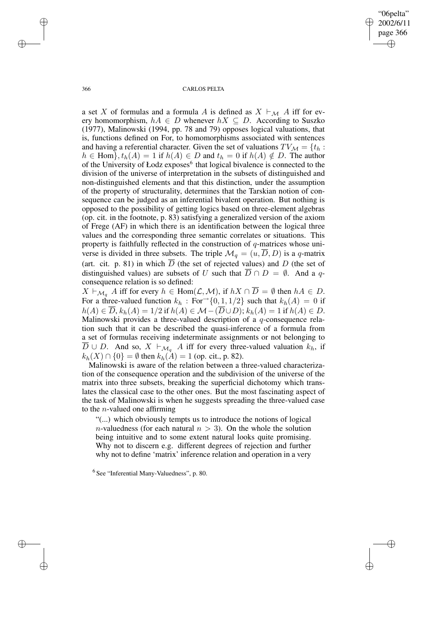"06pelta" 2002/6/11 page 366 ✐ ✐

✐

✐

366 CARLOS PELTA

a set X of formulas and a formula A is defined as  $X \vdash_M A$  iff for every homomorphism,  $hA \in D$  whenever  $hX \subseteq D$ . According to Suszko (1977), Malinowski (1994, pp. 78 and 79) opposes logical valuations, that is, functions defined on For, to homomorphisms associated with sentences and having a referential character. Given the set of valuations  $TV_{\mathcal{M}} = \{t_h :$  $h \in \text{Hom}\}, t_h(A) = 1$  if  $h(A) \in D$  and  $t_h = 0$  if  $h(A) \notin D$ . The author of the University of Łodz exposes<sup>6</sup> that logical bivalence is connected to the division of the universe of interpretation in the subsets of distinguished and non-distinguished elements and that this distinction, under the assumption of the property of structurality, determines that the Tarskian notion of consequence can be judged as an inferential bivalent operation. But nothing is opposed to the possibility of getting logics based on three-element algebras (op. cit. in the footnote, p. 83) satisfying a generalized version of the axiom of Frege (AF) in which there is an identification between the logical three values and the corresponding three semantic correlates or situations. This property is faithfully reflected in the construction of  $q$ -matrices whose universe is divided in three subsets. The triple  $\mathcal{M}_q = (u, \overline{D}, D)$  is a q-matrix (art. cit. p. 81) in which  $\overline{D}$  (the set of rejected values) and D (the set of distinguished values) are subsets of U such that  $\overline{D} \cap D = \emptyset$ . And a qconsequence relation is so defined:

 $X \vdash_{\mathcal{M}_q} A$  iff for every  $h \in \text{Hom}(\mathcal{L},\mathcal{M})$ , if  $hX \cap \overline{D} = \emptyset$  then  $hA \in D$ . For a three-valued function  $k_h$ : For  $\{0, 1, 1/2\}$  such that  $k_h(A) = 0$  if  $h(A) \in \overline{D}$ ,  $k_h(A) = 1/2$  if  $h(A) \in \mathcal{M} - (\overline{D} \cup D)$ ;  $k_h(A) = 1$  if  $h(A) \in D$ . Malinowski provides a three-valued description of a q-consequence relation such that it can be described the quasi-inference of a formula from a set of formulas receiving indeterminate assignments or not belonging to  $\overline{D} \cup D$ . And so,  $X \vdash_{\mathcal{M}_q} A$  iff for every three-valued valuation  $k_h$ , if  $k_h(X) \cap \{0\} = \emptyset$  then  $k_h(A) = 1$  (op. cit., p. 82).

Malinowski is aware of the relation between a three-valued characterization of the consequence operation and the subdivision of the universe of the matrix into three subsets, breaking the superficial dichotomy which translates the classical case to the other ones. But the most fascinating aspect of the task of Malinowski is when he suggests spreading the three-valued case to the *n*-valued one affirming

"(...) which obviously tempts us to introduce the notions of logical *n*-valuedness (for each natural  $n > 3$ ). On the whole the solution being intuitive and to some extent natural looks quite promising. Why not to discern e.g. different degrees of rejection and further why not to define 'matrix' inference relation and operation in a very

✐

✐

✐

<sup>6</sup> See "Inferential Many-Valuedness", p. 80.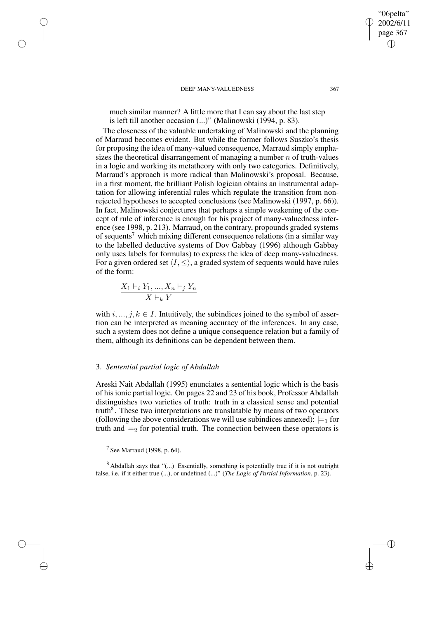much similar manner? A little more that I can say about the last step is left till another occasion (...)" (Malinowski (1994, p. 83).

The closeness of the valuable undertaking of Malinowski and the planning of Marraud becomes evident. But while the former follows Suszko's thesis for proposing the idea of many-valued consequence, Marraud simply emphasizes the theoretical disarrangement of managing a number  $n$  of truth-values in a logic and working its metatheory with only two categories. Definitively, Marraud's approach is more radical than Malinowski's proposal. Because, in a first moment, the brilliant Polish logician obtains an instrumental adaptation for allowing inferential rules which regulate the transition from nonrejected hypotheses to accepted conclusions (see Malinowski (1997, p. 66)). In fact, Malinowski conjectures that perhaps a simple weakening of the concept of rule of inference is enough for his project of many-valuedness inference (see 1998, p. 213). Marraud, on the contrary, propounds graded systems of sequents<sup>7</sup> which mixing different consequence relations (in a similar way to the labelled deductive systems of Dov Gabbay (1996) although Gabbay only uses labels for formulas) to express the idea of deep many-valuedness. For a given ordered set  $\langle I, \leq \rangle$ , a graded system of sequents would have rules of the form:

$$
\frac{X_1 \vdash_i Y_1, ..., X_n \vdash_j Y_n}{X \vdash_k Y}
$$

✐

✐

✐

✐

with  $i, ..., j, k \in I$ . Intuitively, the subindices joined to the symbol of assertion can be interpreted as meaning accuracy of the inferences. In any case, such a system does not define a unique consequence relation but a family of them, although its definitions can be dependent between them.

## 3. *Sentential partial logic of Abdallah*

Areski Nait Abdallah (1995) enunciates a sentential logic which is the basis of his ionic partial logic. On pages 22 and 23 of his book, Professor Abdallah distinguishes two varieties of truth: truth in a classical sense and potential truth<sup>8</sup>. These two interpretations are translatable by means of two operators (following the above considerations we will use subindices annexed):  $\models_1$  for truth and  $\models_2$  for potential truth. The connection between these operators is

<sup>8</sup> Abdallah says that "(...) Essentially, something is potentially true if it is not outright false, i.e. if it either true (...), or undefined (...)" (*The Logic of Partial Information*, p. 23).

"06pelta" 2002/6/11 page 367

✐

✐

✐

 $7$  See Marraud (1998, p. 64).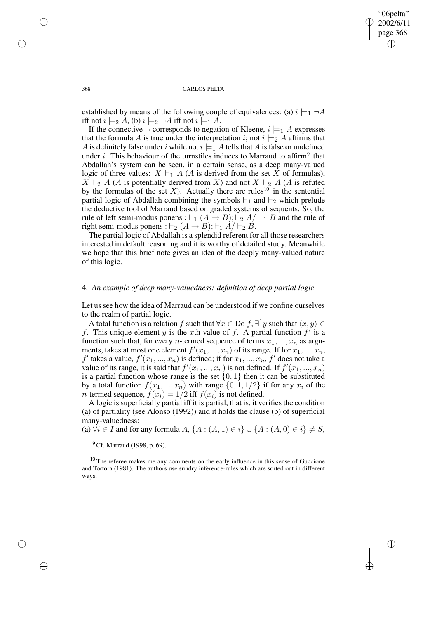✐

✐

#### 368 CARLOS PELTA

established by means of the following couple of equivalences: (a)  $i \models_1 \neg A$ iff not  $i \models_2 A$ , (b)  $i \models_2 \neg A$  iff not  $i \models_1 A$ .

If the connective  $\neg$  corresponds to negation of Kleene,  $i \models_1 A$  expresses that the formula A is true under the interpretation i; not  $i \models_2 A$  affirms that A is definitely false under i while not  $i \models_1 A$  tells that A is false or undefined under *i*. This behaviour of the turnstiles induces to Marraud to affirm<sup>9</sup> that Abdallah's system can be seen, in a certain sense, as a deep many-valued logic of three values:  $X \vdash_1 A (A \text{ is derived from the set } X \text{ of formulas}),$  $X \vdash_2 A$  (A is potentially derived from X) and not  $X \vdash_2 A$  (A is refuted by the formulas of the set  $X$ ). Actually there are rules<sup>10</sup> in the sentential partial logic of Abdallah combining the symbols  $\vdash_1$  and  $\vdash_2$  which prelude the deductive tool of Marraud based on graded systems of sequents. So, the rule of left semi-modus ponens :  $\vdash_1 (A \rightarrow B); \vdash_2 A/\vdash_1 B$  and the rule of right semi-modus ponens :  $\vdash_2 (A \rightarrow B)$ ;  $\vdash_1 A/\vdash_2 B$ .

The partial logic of Abdallah is a splendid referent for all those researchers interested in default reasoning and it is worthy of detailed study. Meanwhile we hope that this brief note gives an idea of the deeply many-valued nature of this logic.

### 4. *An example of deep many-valuedness: definition of deep partial logic*

Let us see how the idea of Marraud can be understood if we confine ourselves to the realm of partial logic.

A total function is a relation f such that  $\forall x \in Do$   $f, \exists^1 y$  such that  $\langle x, y \rangle \in$ f. This unique element y is the xth value of f. A partial function  $f'$  is a function such that, for every *n*-termed sequence of terms  $x_1, ..., x_n$  as arguments, takes at most one element  $f'(x_1, ..., x_n)$  of its range. If for  $x_1, ..., x_n$ ,  $f'$  takes a value,  $f'(x_1, ..., x_n)$  is defined; if for  $x_1, ..., x_n$ ,  $f'$  does not take a value of its range, it is said that  $f'(x_1, ..., x_n)$  is not defined. If  $f'(x_1, ..., x_n)$ is a partial function whose range is the set  $\{0, 1\}$  then it can be substituted by a total function  $f(x_1, ..., x_n)$  with range  $\{0, 1, 1/2\}$  if for any  $x_i$  of the *n*-termed sequence,  $f(x_i) = 1/2$  iff  $f(x_i)$  is not defined.

A logic is superficially partial iff it is partial, that is, it verifies the condition (a) of partiality (see Alonso (1992)) and it holds the clause (b) of superficial many-valuedness:

(a)  $\forall i \in I$  and for any formula  $A, \{A : (A, 1) \in i\} \cup \{A : (A, 0) \in i\} \neq S$ ,

<sup>9</sup> Cf. Marraud (1998, p. 69).

<sup>10</sup> The referee makes me any comments on the early influence in this sense of Guccione and Tortora (1981). The authors use sundry inference-rules which are sorted out in different ways.

✐

✐

✐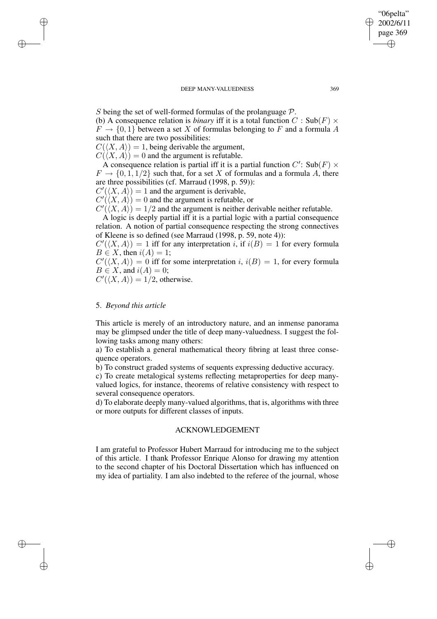S being the set of well-formed formulas of the prolanguage  $P$ . (b) A consequence relation is *binary* iff it is a total function  $C : Sub(F) \times$  $F \to \{0, 1\}$  between a set X of formulas belonging to F and a formula A such that there are two possibilities:

 $C(\langle X, A \rangle) = 1$ , being derivable the argument,

 $C(\langle X, A \rangle) = 0$  and the argument is refutable.

A consequence relation is partial iff it is a partial function  $C'$ : Sub $(F) \times$  $F \rightarrow \{0, 1, 1/2\}$  such that, for a set X of formulas and a formula A, there are three possibilities (cf. Marraud (1998, p. 59)):

 $C'(\langle X, A \rangle) = 1$  and the argument is derivable,

 $C'(\langle X, A \rangle) = 0$  and the argument is refutable, or

 $C'(\langle X, A \rangle) = 1/2$  and the argument is neither derivable neither refutable.

A logic is deeply partial iff it is a partial logic with a partial consequence relation. A notion of partial consequence respecting the strong connectives of Kleene is so defined (see Marraud (1998, p. 59, note 4)):

 $C'(\langle X, A \rangle) = 1$  iff for any interpretation i, if  $i(B) = 1$  for every formula  $B \in X$ , then  $i(A) = 1$ ;

 $C'(\langle X, A \rangle) = 0$  iff for some interpretation i,  $i(B) = 1$ , for every formula  $B \in X$ , and  $i(A) = 0$ ;

 $C'(\langle X, A \rangle) = 1/2$ , otherwise.

### 5. *Beyond this article*

✐

✐

✐

✐

This article is merely of an introductory nature, and an inmense panorama may be glimpsed under the title of deep many-valuedness. I suggest the following tasks among many others:

a) To establish a general mathematical theory fibring at least three consequence operators.

b) To construct graded systems of sequents expressing deductive accuracy.

c) To create metalogical systems reflecting metaproperties for deep manyvalued logics, for instance, theorems of relative consistency with respect to several consequence operators.

d) To elaborate deeply many-valued algorithms, that is, algorithms with three or more outputs for different classes of inputs.

# ACKNOWLEDGEMENT

I am grateful to Professor Hubert Marraud for introducing me to the subject of this article. I thank Professor Enrique Alonso for drawing my attention to the second chapter of his Doctoral Dissertation which has influenced on my idea of partiality. I am also indebted to the referee of the journal, whose

"06pelta" 2002/6/11 page 369

✐

✐

✐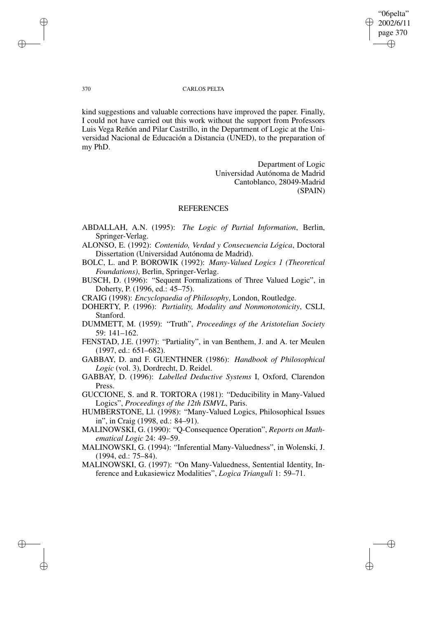"06pelta" 2002/6/11 page 370 ✐ ✐

✐

✐

### 370 CARLOS PELTA

kind suggestions and valuable corrections have improved the paper. Finally, I could not have carried out this work without the support from Professors Luis Vega Reñón and Pilar Castrillo, in the Department of Logic at the Universidad Nacional de Educación a Distancia (UNED), to the preparation of my PhD.

> Department of Logic Universidad Autónoma de Madrid Cantoblanco, 28049-Madrid (SPAIN)

# REFERENCES

- ABDALLAH, A.N. (1995): *The Logic of Partial Information*, Berlin, Springer-Verlag.
- ALONSO, E. (1992): *Contenido, Verdad y Consecuencia Lógica*, Doctoral Dissertation (Universidad Autónoma de Madrid).
- BOLC, L. and P. BOROWIK (1992): *Many-Valued Logics 1 (Theoretical Foundations)*, Berlin, Springer-Verlag.
- BUSCH, D. (1996): "Sequent Formalizations of Three Valued Logic", in Doherty, P. (1996, ed.: 45–75).
- CRAIG (1998): *Encyclopaedia of Philosophy*, London, Routledge.
- DOHERTY, P. (1996): *Partiality, Modality and Nonmonotonicity*, CSLI, Stanford.
- DUMMETT, M. (1959): "Truth", *Proceedings of the Aristotelian Society* 59: 141–162.
- FENSTAD, J.E. (1997): "Partiality", in van Benthem, J. and A. ter Meulen (1997, ed.: 651–682).
- GABBAY, D. and F. GUENTHNER (1986): *Handbook of Philosophical Logic* (vol. 3), Dordrecht, D. Reidel.
- GABBAY, D. (1996): *Labelled Deductive Systems* I, Oxford, Clarendon Press.

GUCCIONE, S. and R. TORTORA (1981): "Deducibility in Many-Valued Logics", *Proceedings of the 12th ISMVL*, Paris.

- HUMBERSTONE, Ll. (1998): "Many-Valued Logics, Philosophical Issues in", in Craig (1998, ed.: 84–91).
- MALINOWSKI, G. (1990): "Q-Consequence Operation", *Reports on Mathematical Logic* 24: 49–59.
- MALINOWSKI, G. (1994): "Inferential Many-Valuedness", in Wolenski, J. (1994, ed.: 75–84).
- MALINOWSKI, G. (1997): "On Many-Valuedness, Sentential Identity, Inference and Łukasiewicz Modalities", *Logica Trianguli* 1: 59–71.

✐

✐

✐